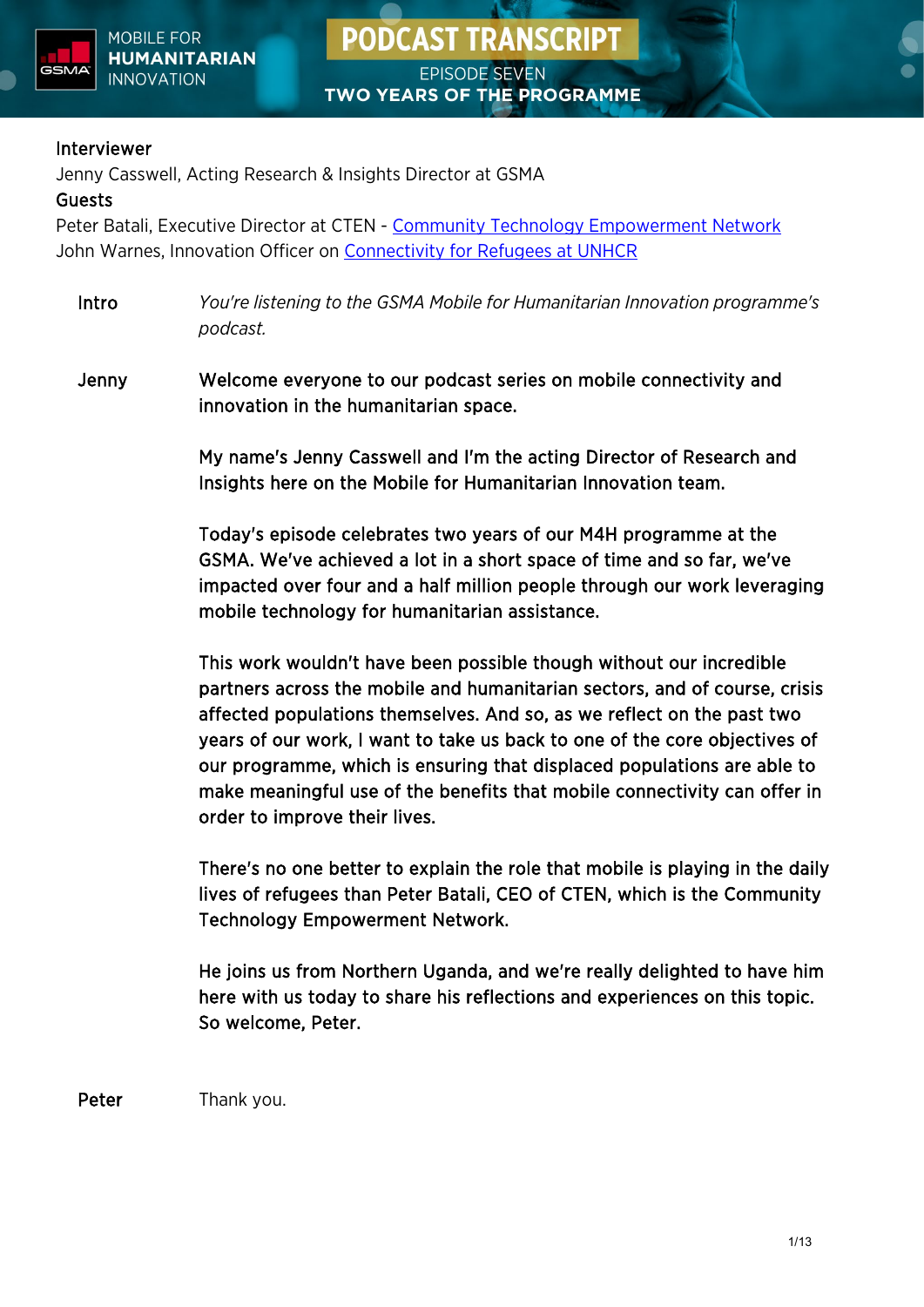

#### Interviewer

Jenny Casswell, Acting Research & Insights Director at GSMA

#### Guests

Peter Batali, Executive Director at CTEN - [Community Technology Empowerment Network](https://www.facebook.com/ctenuganda/) John Warnes, Innovation Officer on [Connectivity for Refugees at UNHCR](https://www.unhcr.org/innovation/connectivity-for-refugees/)

Intro *You're listening to the GSMA Mobile for Humanitarian Innovation programme's podcast.*

Jenny Welcome everyone to our podcast series on mobile connectivity and innovation in the humanitarian space.

> My name's Jenny Casswell and I'm the acting Director of Research and Insights here on the Mobile for Humanitarian Innovation team.

Today's episode celebrates two years of our M4H programme at the GSMA. We've achieved a lot in a short space of time and so far, we've impacted over four and a half million people through our work leveraging mobile technology for humanitarian assistance.

This work wouldn't have been possible though without our incredible partners across the mobile and humanitarian sectors, and of course, crisis affected populations themselves. And so, as we reflect on the past two years of our work, I want to take us back to one of the core objectives of our programme, which is ensuring that displaced populations are able to make meaningful use of the benefits that mobile connectivity can offer in order to improve their lives.

There's no one better to explain the role that mobile is playing in the daily lives of refugees than Peter Batali, CEO of CTEN, which is the Community Technology Empowerment Network.

He joins us from Northern Uganda, and we're really delighted to have him here with us today to share his reflections and experiences on this topic. So welcome, Peter.

Peter Thank you.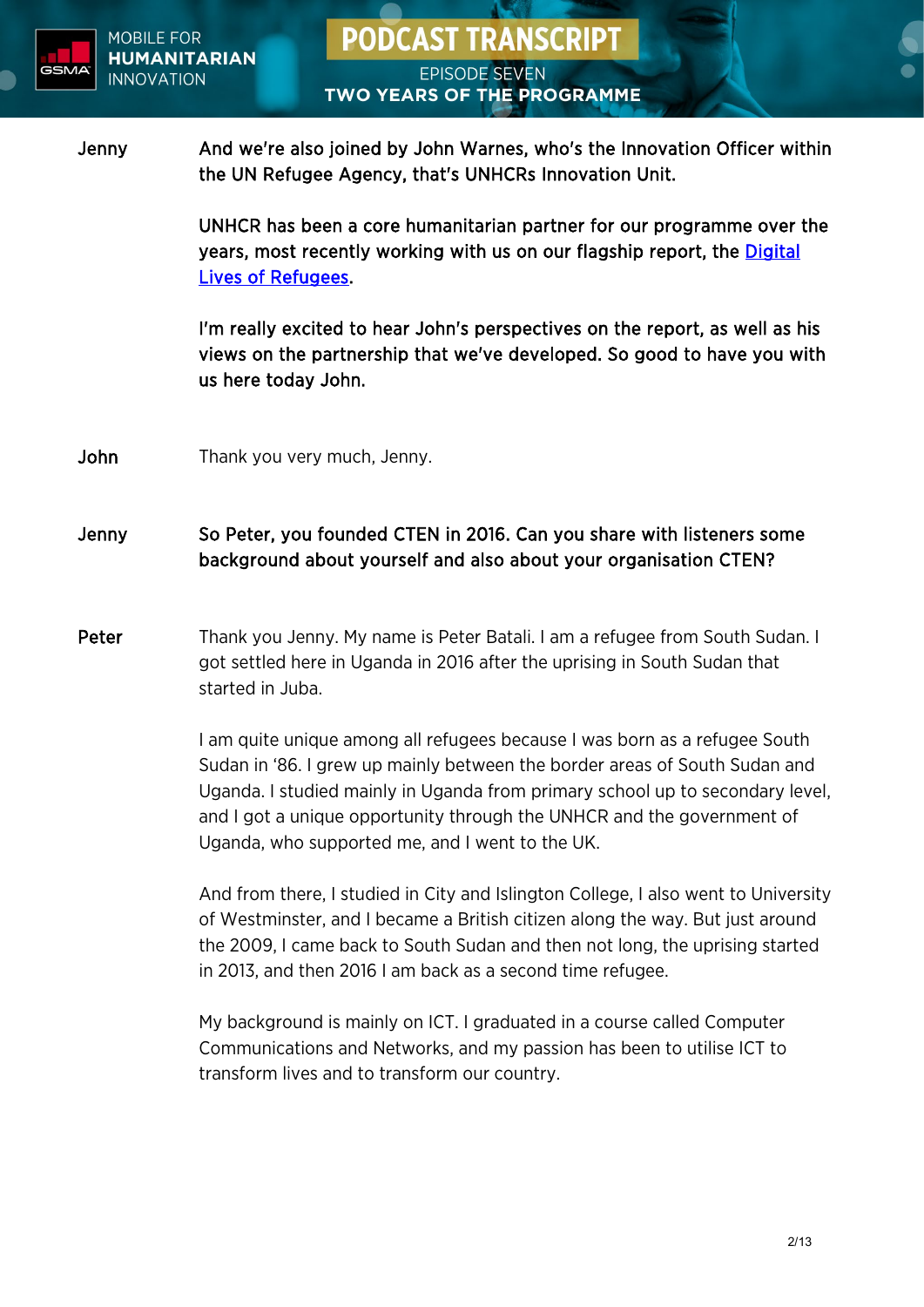

UNHCR has been a core humanitarian partner for our programme over the years, most recently working with us on our flagship report, the [Digital](https://www.gsma.com/mobilefordevelopment/resources/the-digital-lives-of-refugees/)  [Lives of Refugees.](https://www.gsma.com/mobilefordevelopment/resources/the-digital-lives-of-refugees/)

I'm really excited to hear John's perspectives on the report, as well as his views on the partnership that we've developed. So good to have you with us here today John.

John Thank you very much, Jenny.

#### Jenny So Peter, you founded CTEN in 2016. Can you share with listeners some background about yourself and also about your organisation CTEN?

Peter Thank you Jenny. My name is Peter Batali. I am a refugee from South Sudan. I got settled here in Uganda in 2016 after the uprising in South Sudan that started in Juba.

> I am quite unique among all refugees because I was born as a refugee South Sudan in '86. I grew up mainly between the border areas of South Sudan and Uganda. I studied mainly in Uganda from primary school up to secondary level, and I got a unique opportunity through the UNHCR and the government of Uganda, who supported me, and I went to the UK.

> And from there, I studied in City and Islington College, I also went to University of Westminster, and I became a British citizen along the way. But just around the 2009, I came back to South Sudan and then not long, the uprising started in 2013, and then 2016 I am back as a second time refugee.

My background is mainly on ICT. I graduated in a course called Computer Communications and Networks, and my passion has been to utilise ICT to transform lives and to transform our country.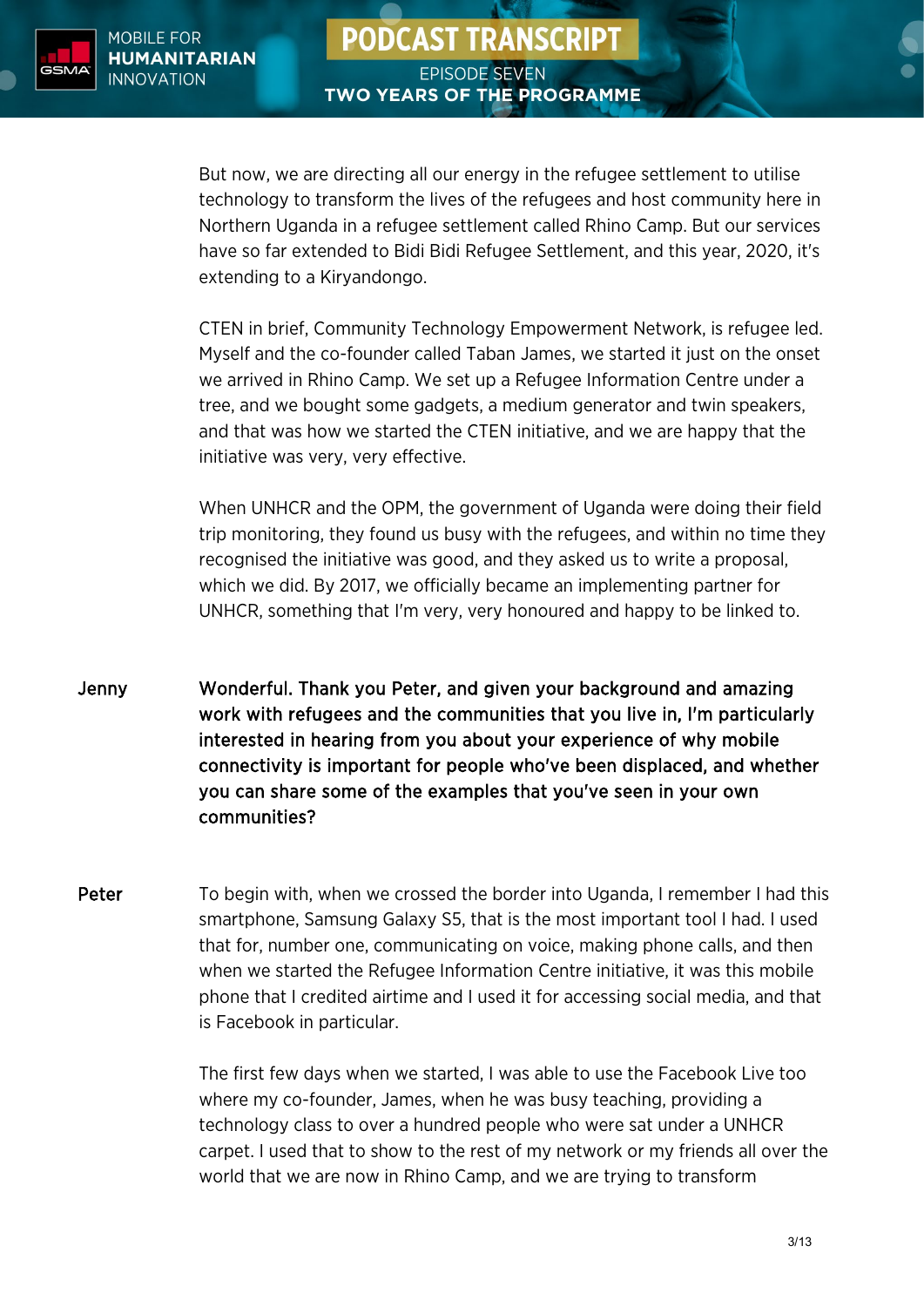

But now, we are directing all our energy in the refugee settlement to utilise technology to transform the lives of the refugees and host community here in Northern Uganda in a refugee settlement called Rhino Camp. But our services have so far extended to Bidi Bidi Refugee Settlement, and this year, 2020, it's extending to a Kiryandongo.

CTEN in brief, Community Technology Empowerment Network, is refugee led. Myself and the co-founder called Taban James, we started it just on the onset we arrived in Rhino Camp. We set up a Refugee Information Centre under a tree, and we bought some gadgets, a medium generator and twin speakers, and that was how we started the CTEN initiative, and we are happy that the initiative was very, very effective.

When UNHCR and the OPM, the government of Uganda were doing their field trip monitoring, they found us busy with the refugees, and within no time they recognised the initiative was good, and they asked us to write a proposal, which we did. By 2017, we officially became an implementing partner for UNHCR, something that I'm very, very honoured and happy to be linked to.

- Jenny Wonderful. Thank you Peter, and given your background and amazing work with refugees and the communities that you live in, I'm particularly interested in hearing from you about your experience of why mobile connectivity is important for people who've been displaced, and whether you can share some of the examples that you've seen in your own communities?
- Peter To begin with, when we crossed the border into Uganda, I remember I had this smartphone, Samsung Galaxy S5, that is the most important tool I had. I used that for, number one, communicating on voice, making phone calls, and then when we started the Refugee Information Centre initiative, it was this mobile phone that I credited airtime and I used it for accessing social media, and that is Facebook in particular.

The first few days when we started, I was able to use the Facebook Live too where my co-founder, James, when he was busy teaching, providing a technology class to over a hundred people who were sat under a UNHCR carpet. I used that to show to the rest of my network or my friends all over the world that we are now in Rhino Camp, and we are trying to transform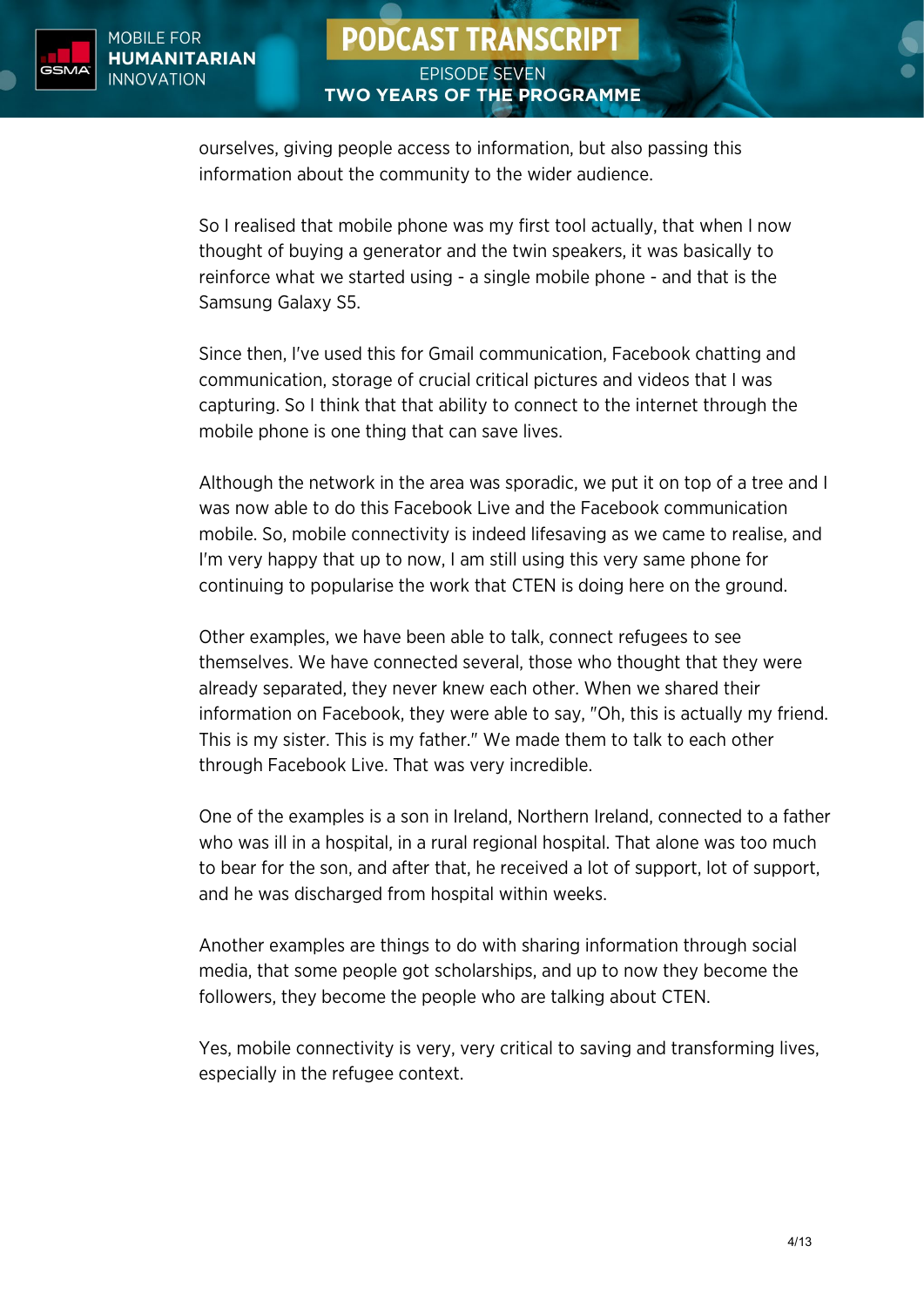

ourselves, giving people access to information, but also passing this information about the community to the wider audience.

So I realised that mobile phone was my first tool actually, that when I now thought of buying a generator and the twin speakers, it was basically to reinforce what we started using - a single mobile phone - and that is the Samsung Galaxy S5.

Since then, I've used this for Gmail communication, Facebook chatting and communication, storage of crucial critical pictures and videos that I was capturing. So I think that that ability to connect to the internet through the mobile phone is one thing that can save lives.

Although the network in the area was sporadic, we put it on top of a tree and I was now able to do this Facebook Live and the Facebook communication mobile. So, mobile connectivity is indeed lifesaving as we came to realise, and I'm very happy that up to now, I am still using this very same phone for continuing to popularise the work that CTEN is doing here on the ground.

Other examples, we have been able to talk, connect refugees to see themselves. We have connected several, those who thought that they were already separated, they never knew each other. When we shared their information on Facebook, they were able to say, "Oh, this is actually my friend. This is my sister. This is my father." We made them to talk to each other through Facebook Live. That was very incredible.

One of the examples is a son in Ireland, Northern Ireland, connected to a father who was ill in a hospital, in a rural regional hospital. That alone was too much to bear for the son, and after that, he received a lot of support, lot of support, and he was discharged from hospital within weeks.

Another examples are things to do with sharing information through social media, that some people got scholarships, and up to now they become the followers, they become the people who are talking about CTEN.

Yes, mobile connectivity is very, very critical to saving and transforming lives, especially in the refugee context.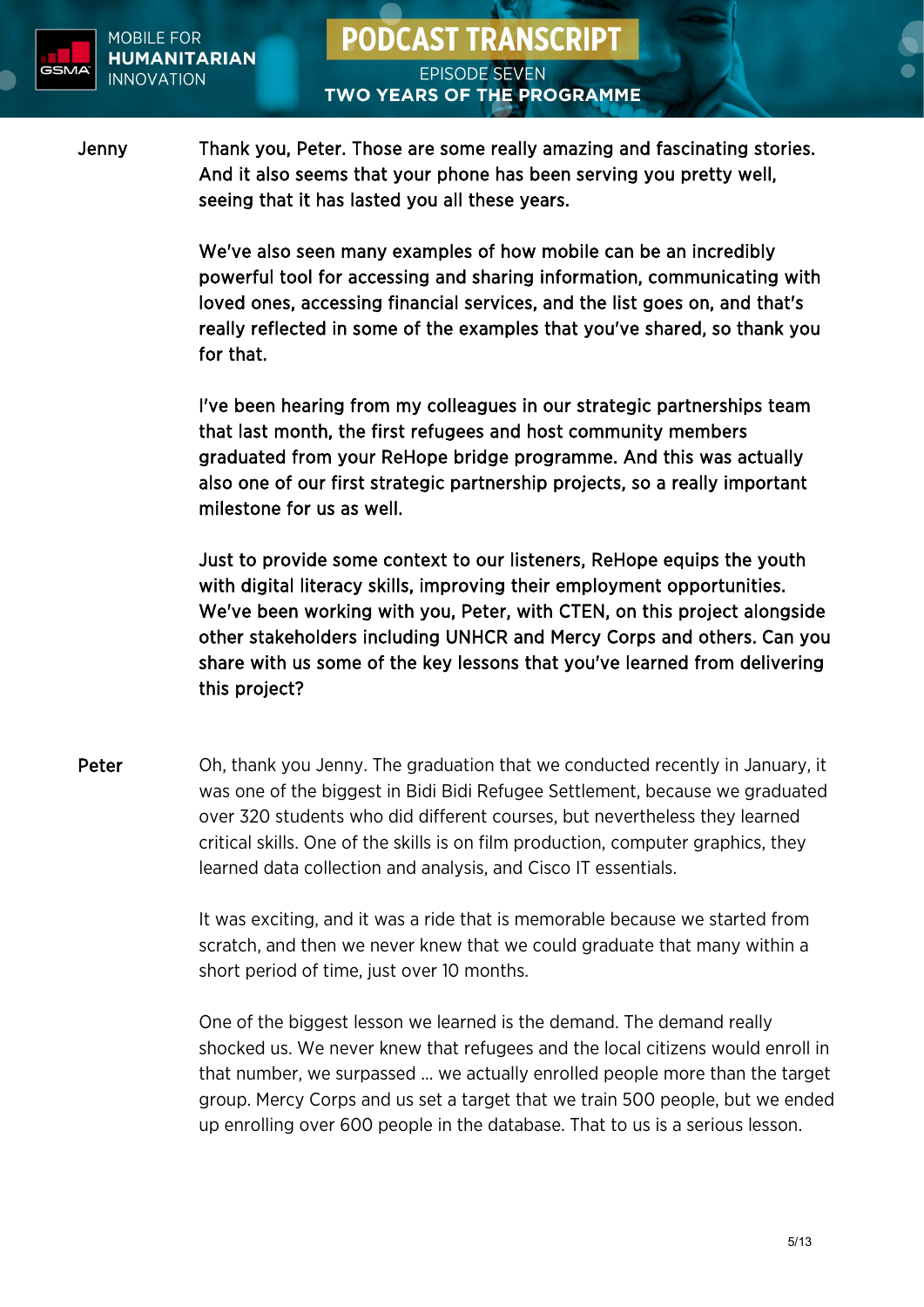

Jenny Thank you, Peter. Those are some really amazing and fascinating stories. And it also seems that your phone has been serving you pretty well, seeing that it has lasted you all these years.

> We've also seen many examples of how mobile can be an incredibly powerful tool for accessing and sharing information, communicating with loved ones, accessing financial services, and the list goes on, and that's really reflected in some of the examples that you've shared, so thank you for that.

I've been hearing from my colleagues in our strategic partnerships team that last month, the first refugees and host community members graduated from your ReHope bridge programme. And this was actually also one of our first strategic partnership projects, so a really important milestone for us as well.

Just to provide some context to our listeners, ReHope equips the youth with digital literacy skills, improving their employment opportunities. We've been working with you, Peter, with CTEN, on this project alongside other stakeholders including UNHCR and Mercy Corps and others. Can you share with us some of the key lessons that you've learned from delivering this project?

Peter Oh, thank you Jenny. The graduation that we conducted recently in January, it was one of the biggest in Bidi Bidi Refugee Settlement, because we graduated over 320 students who did different courses, but nevertheless they learned critical skills. One of the skills is on film production, computer graphics, they learned data collection and analysis, and Cisco IT essentials.

> It was exciting, and it was a ride that is memorable because we started from scratch, and then we never knew that we could graduate that many within a short period of time, just over 10 months.

One of the biggest lesson we learned is the demand. The demand really shocked us. We never knew that refugees and the local citizens would enroll in that number, we surpassed ... we actually enrolled people more than the target group. Mercy Corps and us set a target that we train 500 people, but we ended up enrolling over 600 people in the database. That to us is a serious lesson.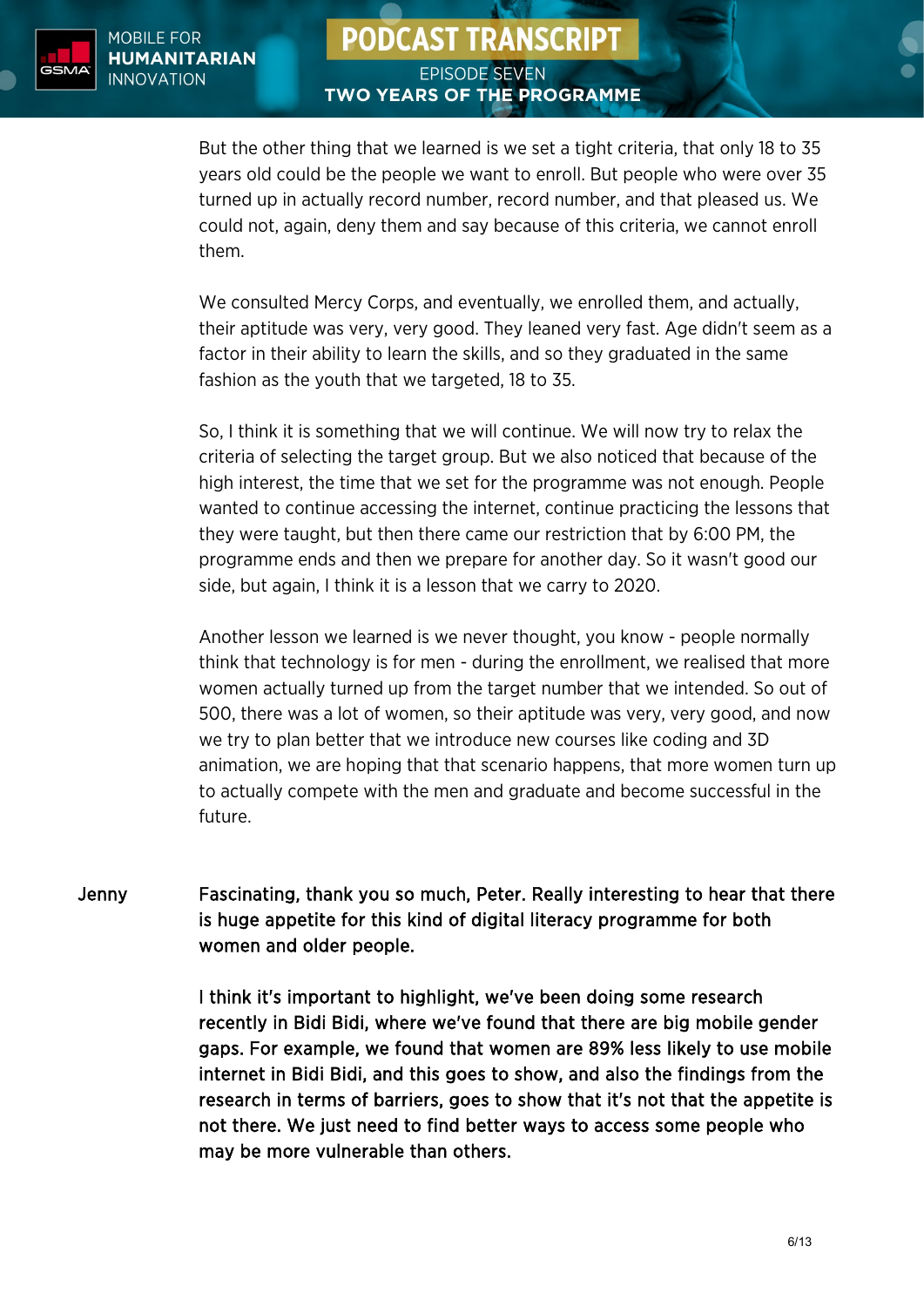

But the other thing that we learned is we set a tight criteria, that only 18 to 35 years old could be the people we want to enroll. But people who were over 35 turned up in actually record number, record number, and that pleased us. We could not, again, deny them and say because of this criteria, we cannot enroll them.

We consulted Mercy Corps, and eventually, we enrolled them, and actually, their aptitude was very, very good. They leaned very fast. Age didn't seem as a factor in their ability to learn the skills, and so they graduated in the same fashion as the youth that we targeted, 18 to 35.

So, I think it is something that we will continue. We will now try to relax the criteria of selecting the target group. But we also noticed that because of the high interest, the time that we set for the programme was not enough. People wanted to continue accessing the internet, continue practicing the lessons that they were taught, but then there came our restriction that by 6:00 PM, the programme ends and then we prepare for another day. So it wasn't good our side, but again, I think it is a lesson that we carry to 2020.

Another lesson we learned is we never thought, you know - people normally think that technology is for men - during the enrollment, we realised that more women actually turned up from the target number that we intended. So out of 500, there was a lot of women, so their aptitude was very, very good, and now we try to plan better that we introduce new courses like coding and 3D animation, we are hoping that that scenario happens, that more women turn up to actually compete with the men and graduate and become successful in the future.

Jenny Fascinating, thank you so much, Peter. Really interesting to hear that there is huge appetite for this kind of digital literacy programme for both women and older people.

> I think it's important to highlight, we've been doing some research recently in Bidi Bidi, where we've found that there are big mobile gender gaps. For example, we found that women are 89% less likely to use mobile internet in Bidi Bidi, and this goes to show, and also the findings from the research in terms of barriers, goes to show that it's not that the appetite is not there. We just need to find better ways to access some people who may be more vulnerable than others.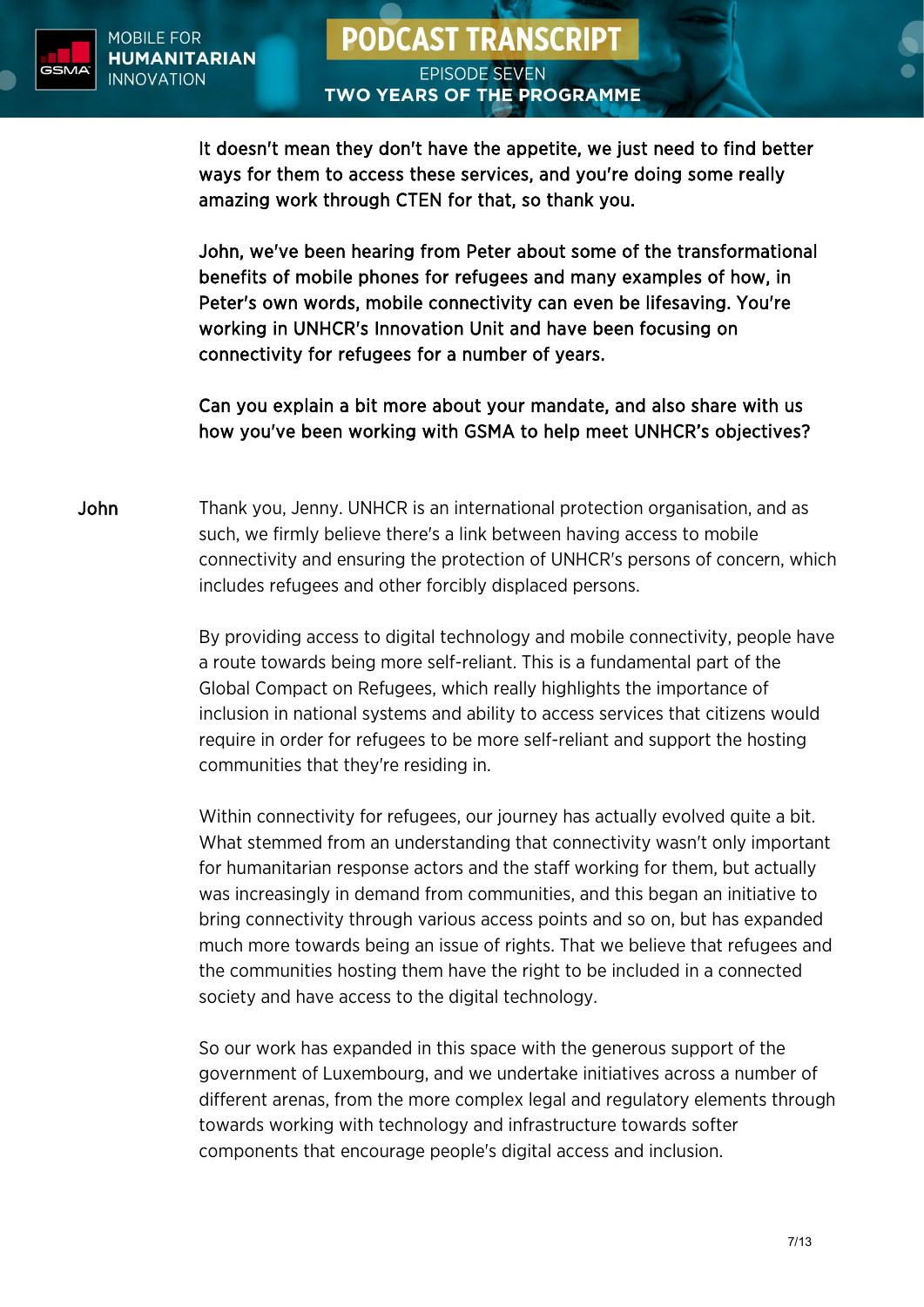

It doesn't mean they don't have the appetite, we just need to find better ways for them to access these services, and you're doing some really amazing work through CTEN for that, so thank you.

John, we've been hearing from Peter about some of the transformational benefits of mobile phones for refugees and many examples of how, in Peter's own words, mobile connectivity can even be lifesaving. You're working in UNHCR's Innovation Unit and have been focusing on connectivity for refugees for a number of years.

Can you explain a bit more about your mandate, and also share with us how you've been working with GSMA to help meet UNHCR's objectives?

John Thank you, Jenny. UNHCR is an international protection organisation, and as such, we firmly believe there's a link between having access to mobile connectivity and ensuring the protection of UNHCR's persons of concern, which includes refugees and other forcibly displaced persons.

> By providing access to digital technology and mobile connectivity, people have a route towards being more self-reliant. This is a fundamental part of the Global Compact on Refugees, which really highlights the importance of inclusion in national systems and ability to access services that citizens would require in order for refugees to be more self-reliant and support the hosting communities that they're residing in.

> Within connectivity for refugees, our journey has actually evolved quite a bit. What stemmed from an understanding that connectivity wasn't only important for humanitarian response actors and the staff working for them, but actually was increasingly in demand from communities, and this began an initiative to bring connectivity through various access points and so on, but has expanded much more towards being an issue of rights. That we believe that refugees and the communities hosting them have the right to be included in a connected society and have access to the digital technology.

> So our work has expanded in this space with the generous support of the government of Luxembourg, and we undertake initiatives across a number of different arenas, from the more complex legal and regulatory elements through towards working with technology and infrastructure towards softer components that encourage people's digital access and inclusion.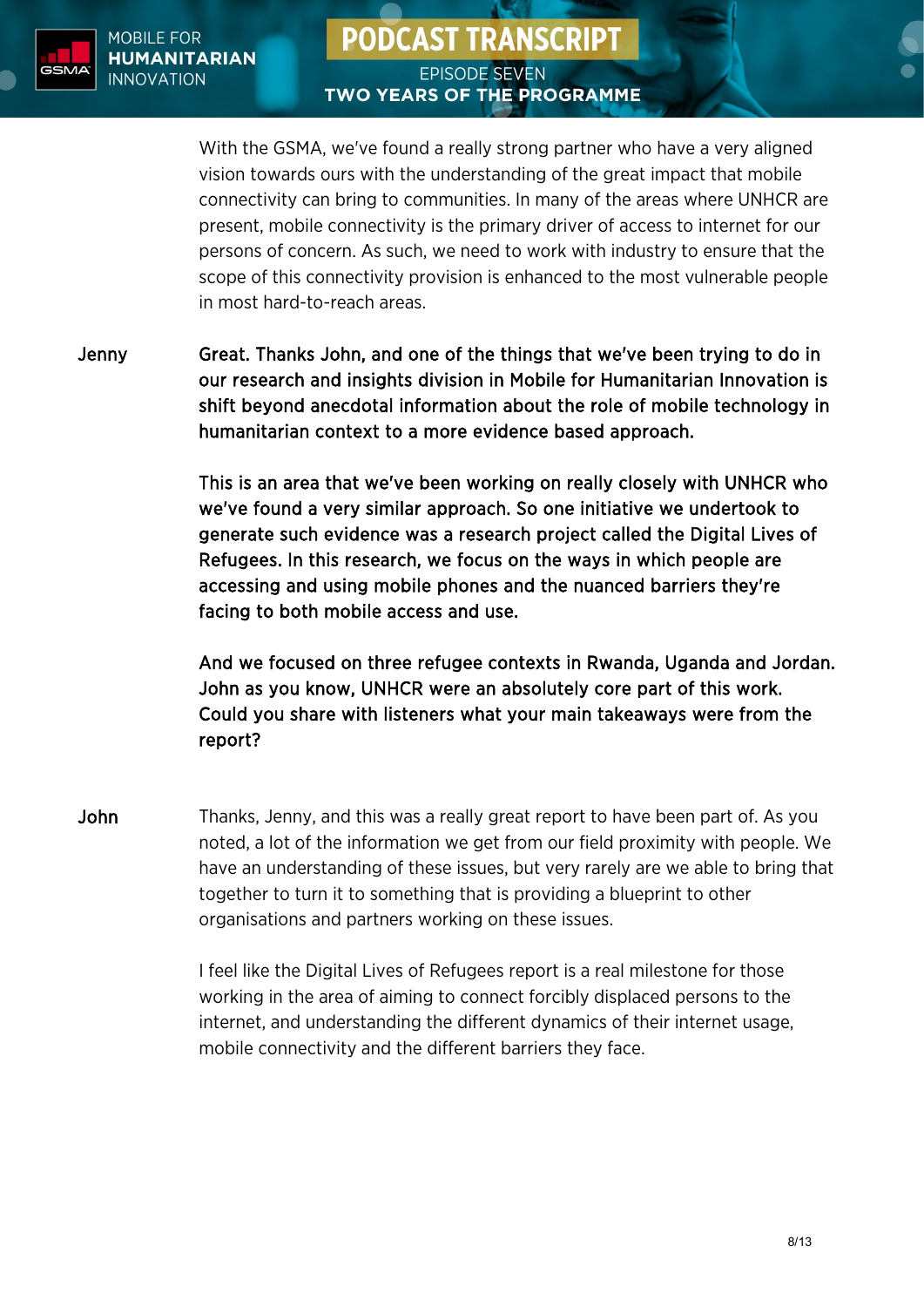

With the GSMA, we've found a really strong partner who have a very aligned vision towards ours with the understanding of the great impact that mobile connectivity can bring to communities. In many of the areas where UNHCR are present, mobile connectivity is the primary driver of access to internet for our persons of concern. As such, we need to work with industry to ensure that the scope of this connectivity provision is enhanced to the most vulnerable people in most hard-to-reach areas.

Jenny Great. Thanks John, and one of the things that we've been trying to do in our research and insights division in Mobile for Humanitarian Innovation is shift beyond anecdotal information about the role of mobile technology in humanitarian context to a more evidence based approach.

> This is an area that we've been working on really closely with UNHCR who we've found a very similar approach. So one initiative we undertook to generate such evidence was a research project called the Digital Lives of Refugees. In this research, we focus on the ways in which people are accessing and using mobile phones and the nuanced barriers they're facing to both mobile access and use.

And we focused on three refugee contexts in Rwanda, Uganda and Jordan. John as you know, UNHCR were an absolutely core part of this work. Could you share with listeners what your main takeaways were from the report?

John Thanks, Jenny, and this was a really great report to have been part of. As you noted, a lot of the information we get from our field proximity with people. We have an understanding of these issues, but very rarely are we able to bring that together to turn it to something that is providing a blueprint to other organisations and partners working on these issues.

> I feel like the Digital Lives of Refugees report is a real milestone for those working in the area of aiming to connect forcibly displaced persons to the internet, and understanding the different dynamics of their internet usage, mobile connectivity and the different barriers they face.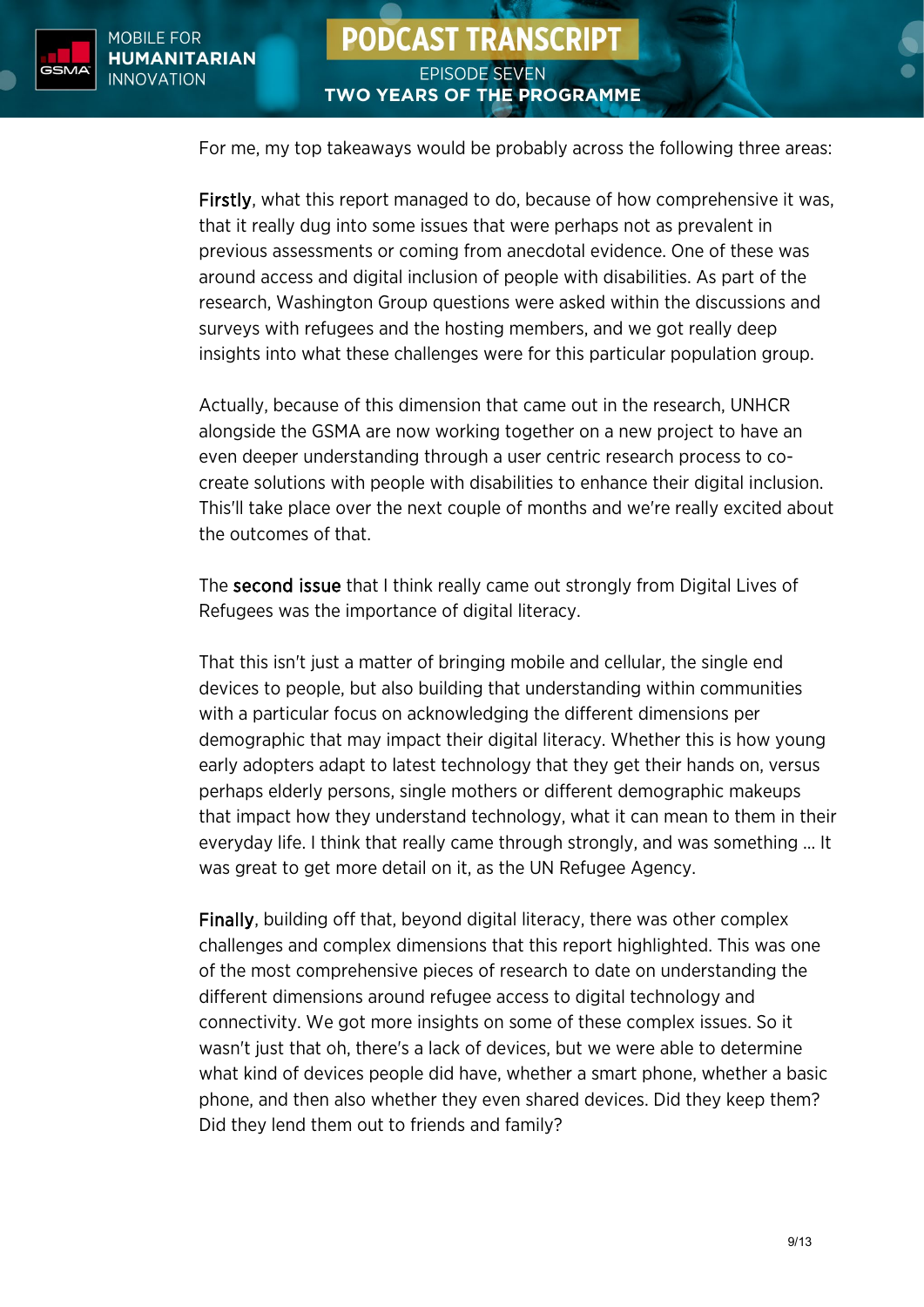For me, my top takeaways would be probably across the following three areas:

Firstly, what this report managed to do, because of how comprehensive it was, that it really dug into some issues that were perhaps not as prevalent in previous assessments or coming from anecdotal evidence. One of these was around access and digital inclusion of people with disabilities. As part of the research, Washington Group questions were asked within the discussions and surveys with refugees and the hosting members, and we got really deep insights into what these challenges were for this particular population group.

Actually, because of this dimension that came out in the research, UNHCR alongside the GSMA are now working together on a new project to have an even deeper understanding through a user centric research process to cocreate solutions with people with disabilities to enhance their digital inclusion. This'll take place over the next couple of months and we're really excited about the outcomes of that.

The second issue that I think really came out strongly from Digital Lives of Refugees was the importance of digital literacy.

That this isn't just a matter of bringing mobile and cellular, the single end devices to people, but also building that understanding within communities with a particular focus on acknowledging the different dimensions per demographic that may impact their digital literacy. Whether this is how young early adopters adapt to latest technology that they get their hands on, versus perhaps elderly persons, single mothers or different demographic makeups that impact how they understand technology, what it can mean to them in their everyday life. I think that really came through strongly, and was something ... It was great to get more detail on it, as the UN Refugee Agency.

Finally, building off that, beyond digital literacy, there was other complex challenges and complex dimensions that this report highlighted. This was one of the most comprehensive pieces of research to date on understanding the different dimensions around refugee access to digital technology and connectivity. We got more insights on some of these complex issues. So it wasn't just that oh, there's a lack of devices, but we were able to determine what kind of devices people did have, whether a smart phone, whether a basic phone, and then also whether they even shared devices. Did they keep them? Did they lend them out to friends and family?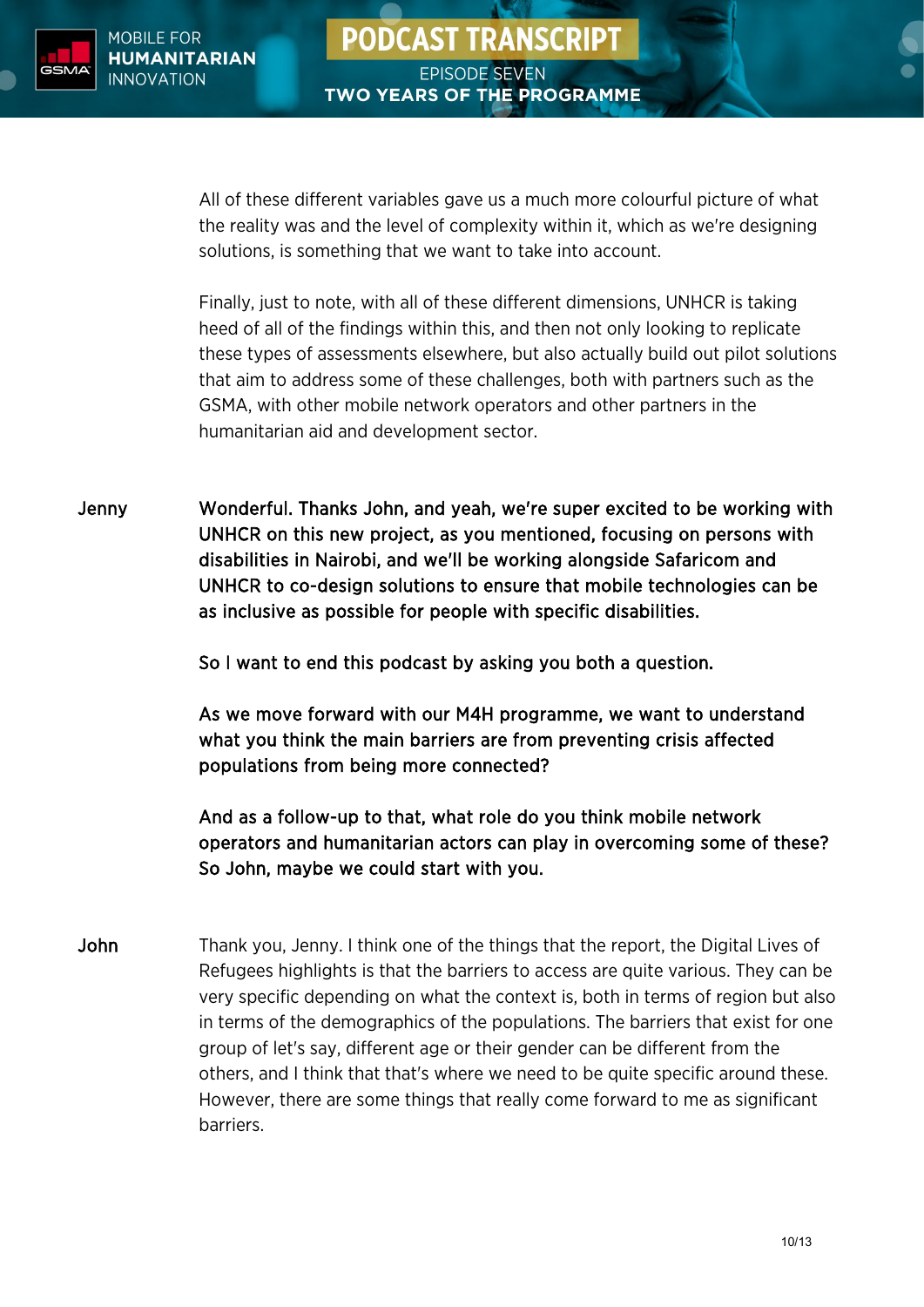

All of these different variables gave us a much more colourful picture of what the reality was and the level of complexity within it, which as we're designing solutions, is something that we want to take into account.

Finally, just to note, with all of these different dimensions, UNHCR is taking heed of all of the findings within this, and then not only looking to replicate these types of assessments elsewhere, but also actually build out pilot solutions that aim to address some of these challenges, both with partners such as the GSMA, with other mobile network operators and other partners in the humanitarian aid and development sector.

Jenny Wonderful. Thanks John, and yeah, we're super excited to be working with UNHCR on this new project, as you mentioned, focusing on persons with disabilities in Nairobi, and we'll be working alongside Safaricom and UNHCR to co-design solutions to ensure that mobile technologies can be as inclusive as possible for people with specific disabilities.

So I want to end this podcast by asking you both a question.

As we move forward with our M4H programme, we want to understand what you think the main barriers are from preventing crisis affected populations from being more connected?

And as a follow-up to that, what role do you think mobile network operators and humanitarian actors can play in overcoming some of these? So John, maybe we could start with you.

John Thank you, Jenny. I think one of the things that the report, the Digital Lives of Refugees highlights is that the barriers to access are quite various. They can be very specific depending on what the context is, both in terms of region but also in terms of the demographics of the populations. The barriers that exist for one group of let's say, different age or their gender can be different from the others, and I think that that's where we need to be quite specific around these. However, there are some things that really come forward to me as significant barriers.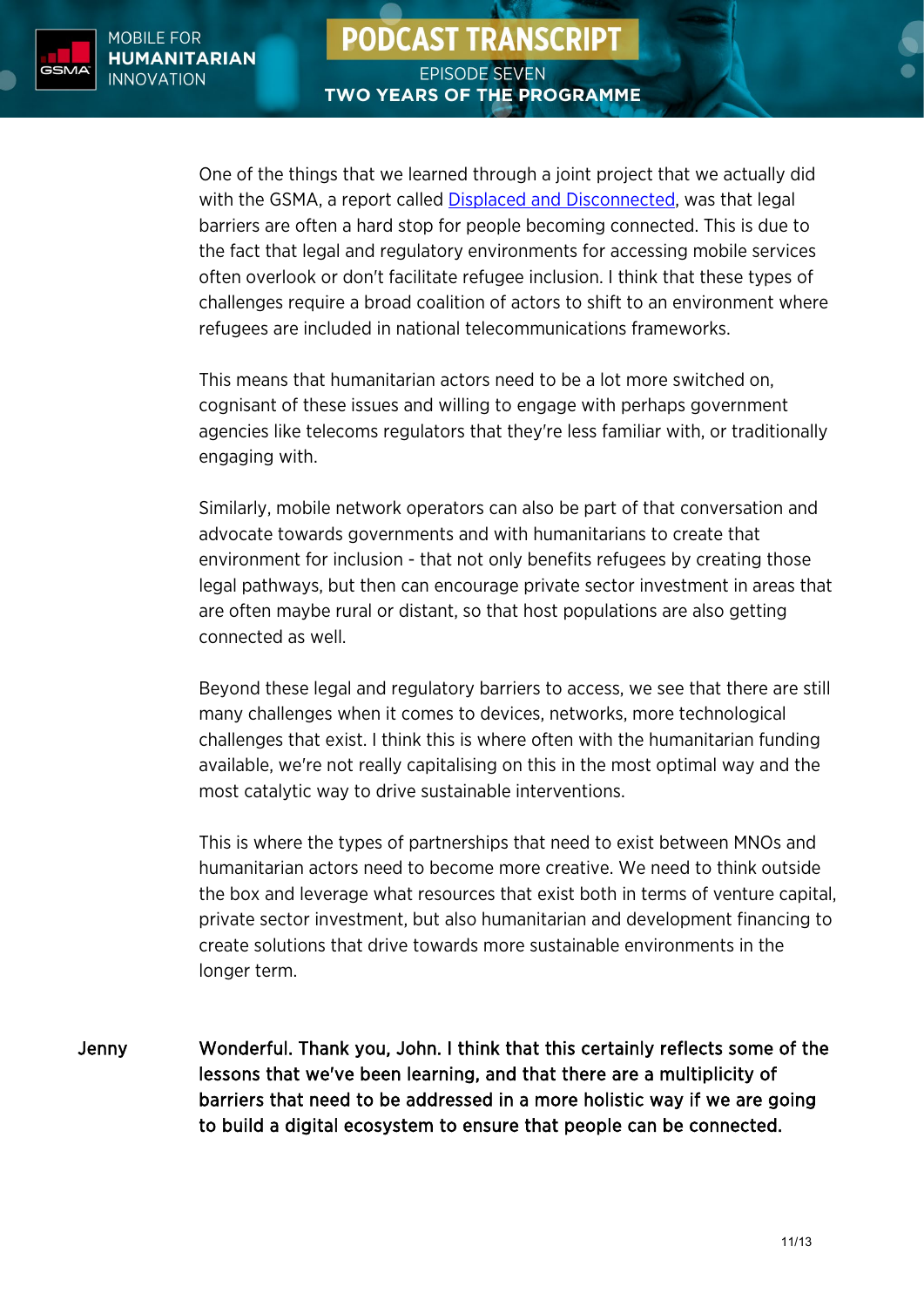

One of the things that we learned through a joint project that we actually did with the GSMA, a report called [Displaced and Disconnected,](https://www.gsma.com/mobilefordevelopment/resources/displaced-and-disconnected/) was that legal barriers are often a hard stop for people becoming connected. This is due to the fact that legal and regulatory environments for accessing mobile services often overlook or don't facilitate refugee inclusion. I think that these types of challenges require a broad coalition of actors to shift to an environment where refugees are included in national telecommunications frameworks.

This means that humanitarian actors need to be a lot more switched on, cognisant of these issues and willing to engage with perhaps government agencies like telecoms regulators that they're less familiar with, or traditionally engaging with.

Similarly, mobile network operators can also be part of that conversation and advocate towards governments and with humanitarians to create that environment for inclusion - that not only benefits refugees by creating those legal pathways, but then can encourage private sector investment in areas that are often maybe rural or distant, so that host populations are also getting connected as well.

Beyond these legal and regulatory barriers to access, we see that there are still many challenges when it comes to devices, networks, more technological challenges that exist. I think this is where often with the humanitarian funding available, we're not really capitalising on this in the most optimal way and the most catalytic way to drive sustainable interventions.

This is where the types of partnerships that need to exist between MNOs and humanitarian actors need to become more creative. We need to think outside the box and leverage what resources that exist both in terms of venture capital, private sector investment, but also humanitarian and development financing to create solutions that drive towards more sustainable environments in the longer term.

Jenny Wonderful. Thank you, John. I think that this certainly reflects some of the lessons that we've been learning, and that there are a multiplicity of barriers that need to be addressed in a more holistic way if we are going to build a digital ecosystem to ensure that people can be connected.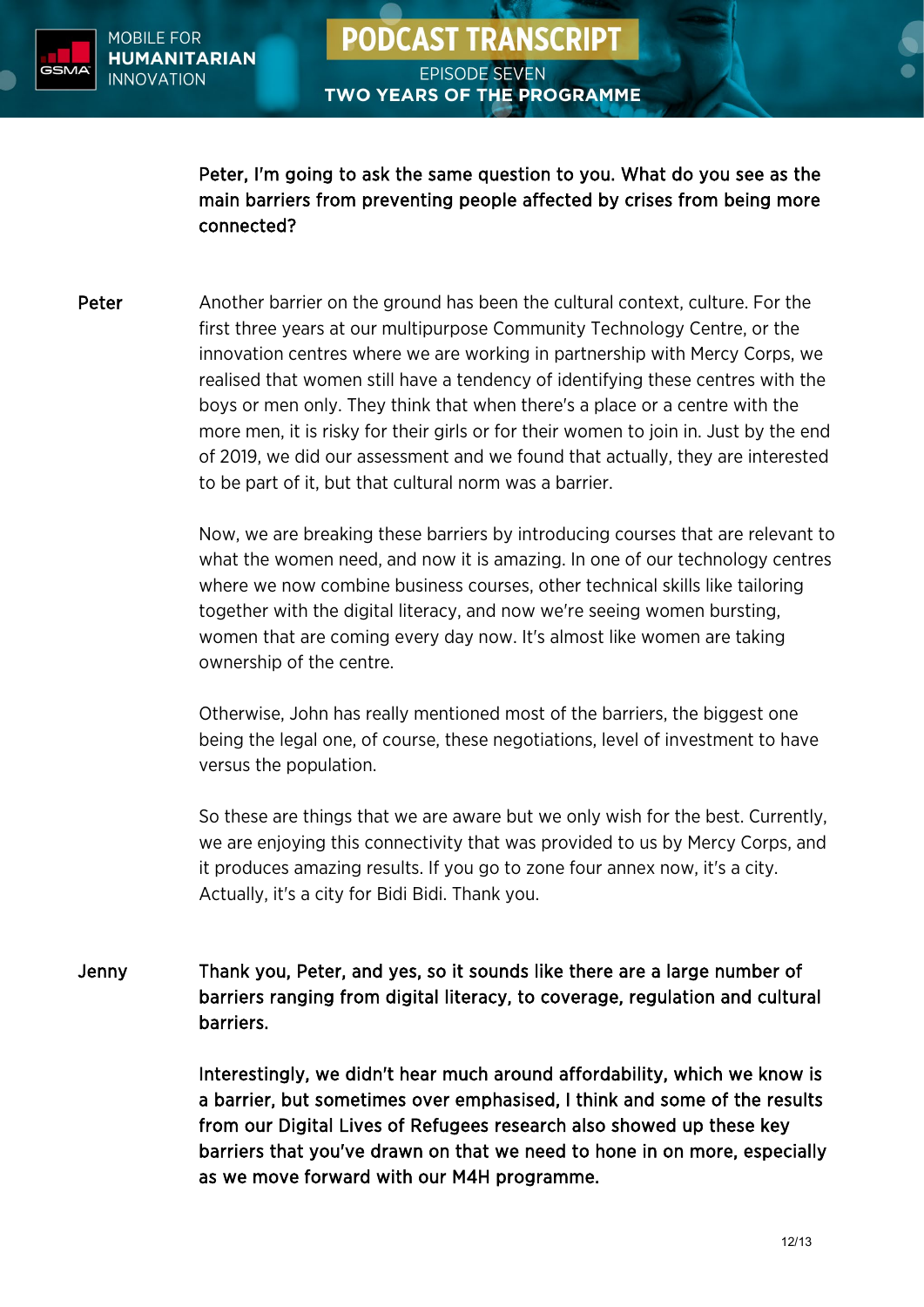

Peter, I'm going to ask the same question to you. What do you see as the main barriers from preventing people affected by crises from being more connected?

Peter Another barrier on the ground has been the cultural context, culture. For the first three years at our multipurpose Community Technology Centre, or the innovation centres where we are working in partnership with Mercy Corps, we realised that women still have a tendency of identifying these centres with the boys or men only. They think that when there's a place or a centre with the more men, it is risky for their girls or for their women to join in. Just by the end of 2019, we did our assessment and we found that actually, they are interested to be part of it, but that cultural norm was a barrier.

> Now, we are breaking these barriers by introducing courses that are relevant to what the women need, and now it is amazing. In one of our technology centres where we now combine business courses, other technical skills like tailoring together with the digital literacy, and now we're seeing women bursting, women that are coming every day now. It's almost like women are taking ownership of the centre.

Otherwise, John has really mentioned most of the barriers, the biggest one being the legal one, of course, these negotiations, level of investment to have versus the population.

So these are things that we are aware but we only wish for the best. Currently, we are enjoying this connectivity that was provided to us by Mercy Corps, and it produces amazing results. If you go to zone four annex now, it's a city. Actually, it's a city for Bidi Bidi. Thank you.

Jenny Thank you, Peter, and yes, so it sounds like there are a large number of barriers ranging from digital literacy, to coverage, regulation and cultural barriers.

> Interestingly, we didn't hear much around affordability, which we know is a barrier, but sometimes over emphasised, I think and some of the results from our Digital Lives of Refugees research also showed up these key barriers that you've drawn on that we need to hone in on more, especially as we move forward with our M4H programme.